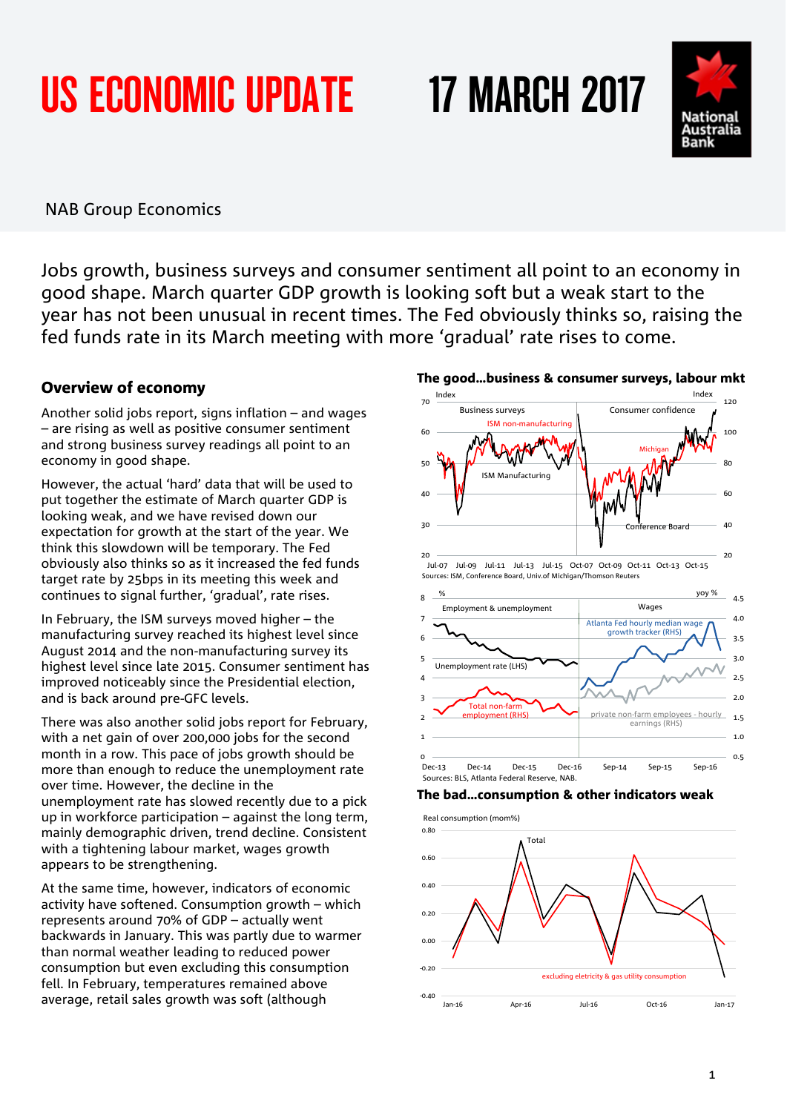# US ECONOMIC UPDATE 17 MARCH 2017

# NAB Group Economics

Jobs growth, business surveys and consumer sentiment all point to an economy in good shape. March quarter GDP growth is looking soft but a weak start to the year has not been unusual in recent times. The Fed obviously thinks so, raising the fed funds rate in its March meeting with more 'gradual' rate rises to come.

 $20$ 

%

30

 $AC$ 

50

60

70

## Overview of economy

Another solid jobs report, signs inflation – and wages – are rising as well as positive consumer sentiment and strong business survey readings all point to an economy in good shape.

However, the actual 'hard' data that will be used to put together the estimate of March quarter GDP is looking weak, and we have revised down our expectation for growth at the start of the year. We think this slowdown will be temporary. The Fed obviously also thinks so as it increased the fed funds target rate by 25bps in its meeting this week and continues to signal further, 'gradual', rate rises.

In February, the ISM surveys moved higher – the manufacturing survey reached its highest level since August 2014 and the non-manufacturing survey its highest level since late 2015. Consumer sentiment has improved noticeably since the Presidential election, and is back around pre-GFC levels.

There was also another solid jobs report for February, with a net gain of over 200,000 jobs for the second month in a row. This pace of jobs growth should be more than enough to reduce the unemployment rate over time. However, the decline in the unemployment rate has slowed recently due to a pick up in workforce participation – against the long term, mainly demographic driven, trend decline. Consistent with a tightening labour market, wages growth appears to be strengthening.

At the same time, however, indicators of economic activity have softened. Consumption growth – which represents around 70% of GDP – actually went backwards in January. This was partly due to warmer than normal weather leading to reduced power consumption but even excluding this consumption fell. In February, temperatures remained above average, retail sales growth was soft (although

# The good…business & consumer surveys, labour mkt

Index Index

Business surveys Consumer confidence

Jul-07 Jul-09 Jul-11 Jul-13 Jul-15 Oct-07 Oct-09 Oct-11 Oct-13 Oct-15

Employment & unemployment Wages

ISM non-manufacturing

Sources: ISM, Conference Board, Univ.of Michigan/Thomson Reuters

Total non-farm

Sources: BLS, Atlanta Federal Reserve, NAB.

Unemployment rate (LHS)

ISM Manufacturing



Dec-13 Dec-14 Dec-15 Dec-16 Sep-14 Sep-15 Sep-16



Jan-16 Apr-16 Jul-16 Oct-16 Jan-17



 $20$ 

yoy %

0.5 1.0 1.5 2.0 2.5 3.0 3.5 4.0 4.5

40

Conference Board

Atlanta Fed hourly median wage growth tracker (RHS)

private non-farm employees - hourly earnings (RHS)

**Michigan** 

60

 $\mathfrak{a}_{\alpha}$ 

100

120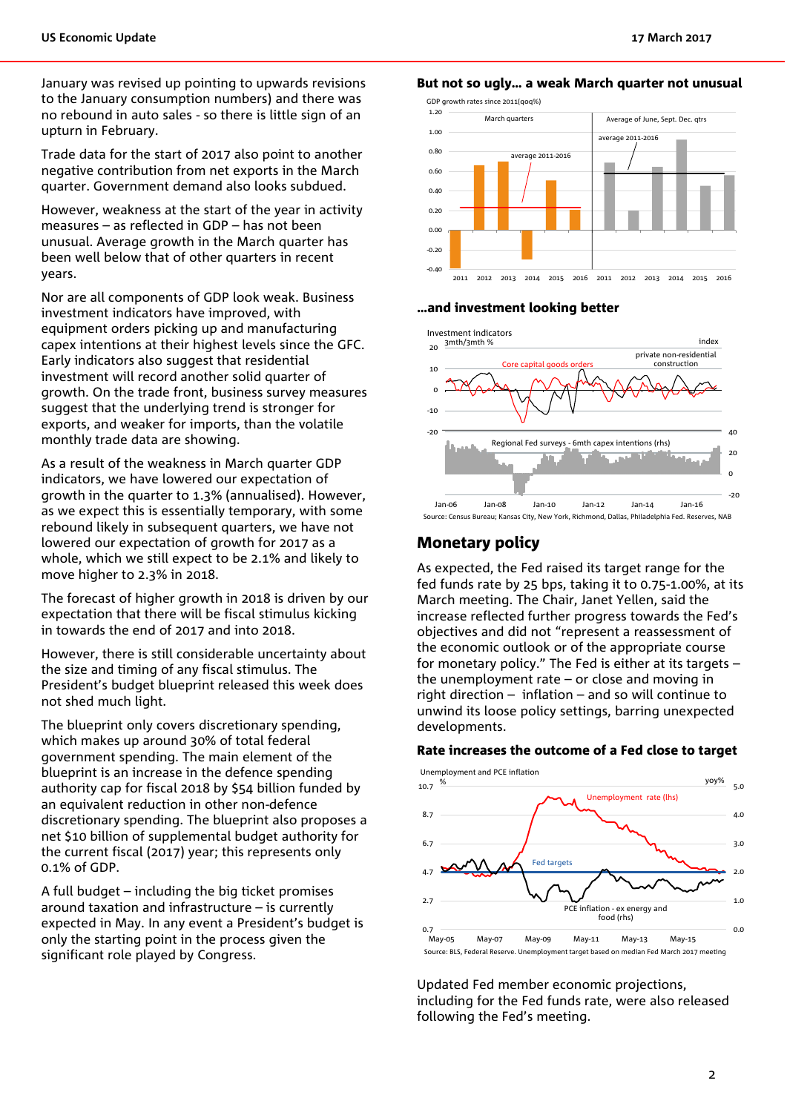January was revised up pointing to upwards revisions to the January consumption numbers) and there was no rebound in auto sales - so there is little sign of an upturn in February.

Trade data for the start of 2017 also point to another negative contribution from net exports in the March quarter. Government demand also looks subdued.

However, weakness at the start of the year in activity measures – as reflected in GDP – has not been unusual. Average growth in the March quarter has been well below that of other quarters in recent years.

Nor are all components of GDP look weak. Business investment indicators have improved, with equipment orders picking up and manufacturing capex intentions at their highest levels since the GFC. Early indicators also suggest that residential investment will record another solid quarter of growth. On the trade front, business survey measures suggest that the underlying trend is stronger for exports, and weaker for imports, than the volatile monthly trade data are showing.

As a result of the weakness in March quarter GDP indicators, we have lowered our expectation of growth in the quarter to 1.3% (annualised). However, as we expect this is essentially temporary, with some rebound likely in subsequent quarters, we have not lowered our expectation of growth for 2017 as a whole, which we still expect to be 2.1% and likely to move higher to 2.3% in 2018.

The forecast of higher growth in 2018 is driven by our expectation that there will be fiscal stimulus kicking in towards the end of 2017 and into 2018.

However, there is still considerable uncertainty about the size and timing of any fiscal stimulus. The President's budget blueprint released this week does not shed much light.

The blueprint only covers discretionary spending, which makes up around 30% of total federal government spending. The main element of the blueprint is an increase in the defence spending authority cap for fiscal 2018 by \$54 billion funded by an equivalent reduction in other non-defence discretionary spending. The blueprint also proposes a net \$10 billion of supplemental budget authority for the current fiscal (2017) year; this represents only 0.1% of GDP.

A full budget – including the big ticket promises around taxation and infrastructure – is currently expected in May. In any event a President's budget is only the starting point in the process given the significant role played by Congress.

#### But not so ugly… a weak March quarter not unusual



#### …and investment looking better



Source: Census Bureau; Kansas City, New York, Richmond, Dallas, Philadelphia Fed. Reserves, NAB

#### Monetary policy

As expected, the Fed raised its target range for the fed funds rate by 25 bps, taking it to 0.75-1.00%, at its March meeting. The Chair, Janet Yellen, said the increase reflected further progress towards the Fed's objectives and did not "represent a reassessment of the economic outlook or of the appropriate course for monetary policy." The Fed is either at its targets – the unemployment rate – or close and moving in right direction – inflation – and so will continue to unwind its loose policy settings, barring unexpected developments.

#### Rate increases the outcome of a Fed close to target



Updated Fed member economic projections, including for the Fed funds rate, were also released following the Fed's meeting.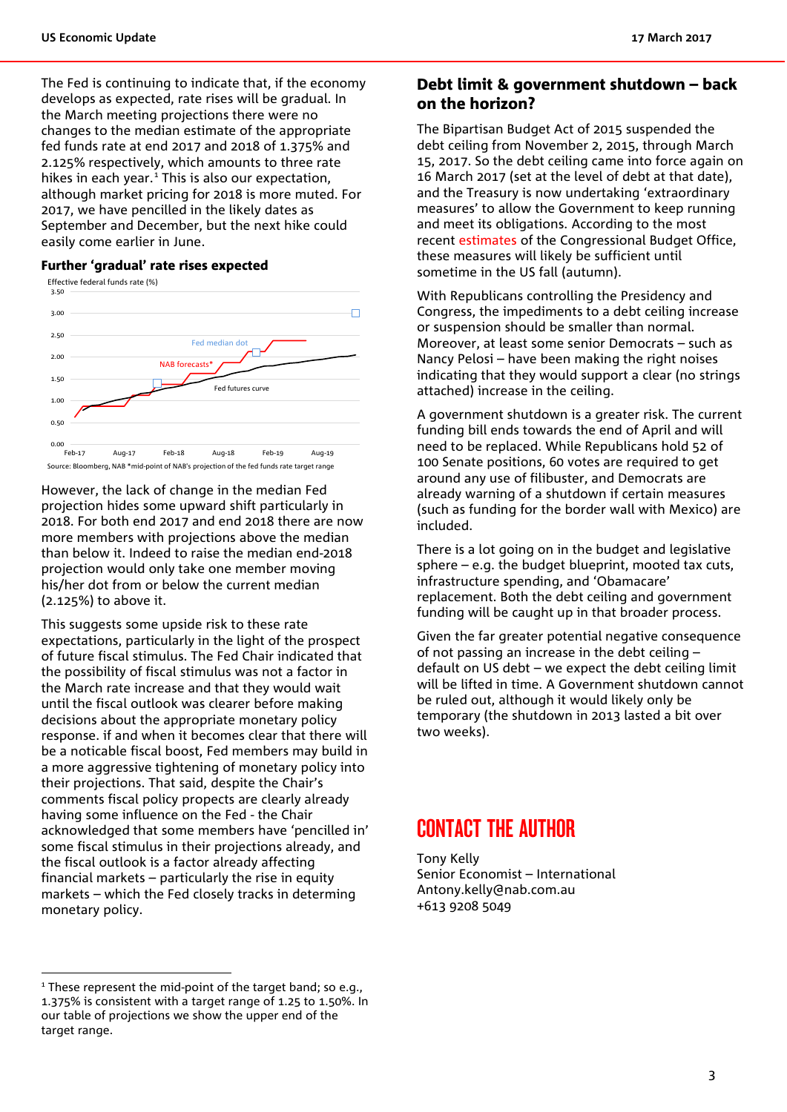The Fed is continuing to indicate that, if the economy develops as expected, rate rises will be gradual. In the March meeting projections there were no changes to the median estimate of the appropriate fed funds rate at end 2017 and 2018 of 1.375% and 2.125% respectively, which amounts to three rate hikes in each year. [1](#page-2-0) This is also our expectation, although market pricing for 2018 is more muted. For 2017, we have pencilled in the likely dates as September and December, but the next hike could easily come earlier in June.

#### Further 'gradual' rate rises expected

Effective federal funds rate (%)



However, the lack of change in the median Fed projection hides some upward shift particularly in 2018. For both end 2017 and end 2018 there are now more members with projections above the median than below it. Indeed to raise the median end-2018 projection would only take one member moving his/her dot from or below the current median (2.125%) to above it.

This suggests some upside risk to these rate expectations, particularly in the light of the prospect of future fiscal stimulus. The Fed Chair indicated that the possibility of fiscal stimulus was not a factor in the March rate increase and that they would wait until the fiscal outlook was clearer before making decisions about the appropriate monetary policy response. if and when it becomes clear that there will be a noticable fiscal boost, Fed members may build in a more aggressive tightening of monetary policy into their projections. That said, despite the Chair's comments fiscal policy propects are clearly already having some influence on the Fed - the Chair acknowledged that some members have 'pencilled in' some fiscal stimulus in their projections already, and the fiscal outlook is a factor already affecting financial markets – particularly the rise in equity markets – which the Fed closely tracks in determing monetary policy.

## Debt limit & government shutdown – back on the horizon?

The Bipartisan Budget Act of 2015 suspended the debt ceiling from November 2, 2015, through March 15, 2017. So the debt ceiling came into force again on 16 March 2017 (set at the level of debt at that date), and the Treasury is now undertaking 'extraordinary measures' to allow the Government to keep running and meet its obligations. According to the most recent [estimates o](https://www.cbo.gov/publication/52465?utm_source=feedblitz&utm_medium=FeedBlitzEmail&utm_content=855024&utm_campaign=0)f the Congressional Budget Office, these measures will likely be sufficient until sometime in the US fall (autumn).

With Republicans controlling the Presidency and Congress, the impediments to a debt ceiling increase or suspension should be smaller than normal. Moreover, at least some senior Democrats – such as Nancy Pelosi – have been making the right noises indicating that they would support a clear (no strings attached) increase in the ceiling.

A government shutdown is a greater risk. The current funding bill ends towards the end of April and will need to be replaced. While Republicans hold 52 of 100 Senate positions, 60 votes are required to get around any use of filibuster, and Democrats are already warning of a shutdown if certain measures (such as funding for the border wall with Mexico) are included.

There is a lot going on in the budget and legislative sphere – e.g. the budget blueprint, mooted tax cuts, infrastructure spending, and 'Obamacare' replacement. Both the debt ceiling and government funding will be caught up in that broader process.

Given the far greater potential negative consequence of not passing an increase in the debt ceiling – default on US debt – we expect the debt ceiling limit will be lifted in time. A Government shutdown cannot be ruled out, although it would likely only be temporary (the shutdown in 2013 lasted a bit over two weeks).

# CONTACT THE AUTHOR

Tony Kelly Senior Economist – International Antony.kelly@nab.com.au +613 9208 5049

<span id="page-2-0"></span> $1$ <sup>1</sup> These represent the mid-point of the target band; so e.g., 1.375% is consistent with a target range of 1.25 to 1.50%. In our table of projections we show the upper end of the target range.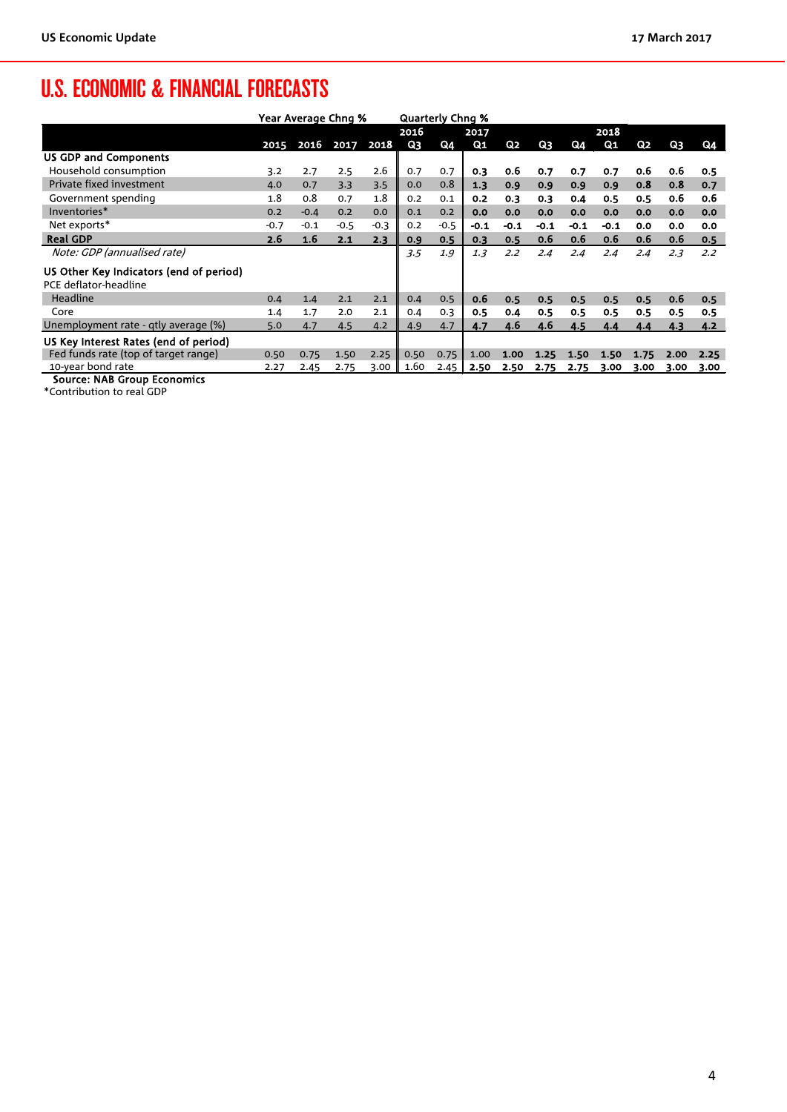# U.S. ECONOMIC & FINANCIAL FORECASTS

|                                         | Year Average Chng % |        |           |        | <b>Quarterly Chng %</b> |        |                |        |                |        |        |                |      |      |
|-----------------------------------------|---------------------|--------|-----------|--------|-------------------------|--------|----------------|--------|----------------|--------|--------|----------------|------|------|
|                                         |                     |        |           |        | 2016<br>2017            |        |                | 2018   |                |        |        |                |      |      |
|                                         | 2015                |        | 2016 2017 | 2018   | Q <sub>3</sub>          | Q4     | Q <sub>1</sub> | Q2     | Q <sub>3</sub> | Q4     | $Q_1$  | Q <sub>2</sub> | Q3   | Q4   |
| <b>US GDP and Components</b>            |                     |        |           |        |                         |        |                |        |                |        |        |                |      |      |
| Household consumption                   | 3.2                 | 2.7    | 2.5       | 2.6    | 0.7                     | 0.7    | 0.3            | 0.6    | 0.7            | 0.7    | 0.7    | 0.6            | 0.6  | 0.5  |
| Private fixed investment                | 4.0                 | 0.7    | 3.3       | 3.5    | 0.0                     | 0.8    | 1.3            | 0.9    | 0.9            | 0.9    | 0.9    | 0.8            | 0.8  | 0.7  |
| Government spending                     | 1.8                 | 0.8    | 0.7       | 1.8    | 0.2                     | 0.1    | 0.2            | 0.3    | 0.3            | 0.4    | 0.5    | 0.5            | 0.6  | 0.6  |
| Inventories*                            | 0.2                 | $-0.4$ | 0.2       | 0.0    | 0.1                     | 0.2    | 0.0            | 0.0    | 0.0            | 0.0    | 0.0    | 0.0            | 0.0  | 0.0  |
| Net exports*                            | $-0.7$              | $-0.1$ | $-0.5$    | $-0.3$ | 0.2                     | $-0.5$ | $-0.1$         | $-0.1$ | $-0.1$         | $-0.1$ | $-0.1$ | 0.0            | 0.0  | 0.0  |
| <b>Real GDP</b>                         | 2.6                 | 1.6    | 2.1       | 2.3    | 0.9                     | 0.5    | 0.3            | 0.5    | 0.6            | 0.6    | 0.6    | 0.6            | 0.6  | 0.5  |
| Note: GDP (annualised rate)             |                     |        |           |        | 3.5                     | 1.9    | 1.3            | 2.2    | 2.4            | 2.4    | 2.4    | 2.4            | 2.3  | 2.2  |
| US Other Key Indicators (end of period) |                     |        |           |        |                         |        |                |        |                |        |        |                |      |      |
| PCE deflator-headline                   |                     |        |           |        |                         |        |                |        |                |        |        |                |      |      |
| Headline                                | 0.4                 | 1.4    | 2.1       | 2.1    | 0.4                     | 0.5    | 0.6            | 0.5    | 0.5            | 0.5    | 0.5    | 0.5            | 0.6  | 0.5  |
| Core                                    | 1.4                 | 1.7    | 2.0       | 2.1    | 0.4                     | 0.3    | 0.5            | 0.4    | 0.5            | 0.5    | 0.5    | 0.5            | 0.5  | 0.5  |
| Unemployment rate - qtly average (%)    | 5.0                 | 4.7    | 4.5       | 4.2    | 4.9                     | 4.7    | 4.7            | 4.6    | 4.6            | 4.5    | 4.4    | 4.4            | 4.3  | 4.2  |
| US Key Interest Rates (end of period)   |                     |        |           |        |                         |        |                |        |                |        |        |                |      |      |
| Fed funds rate (top of target range)    | 0.50                | 0.75   | 1.50      | 2.25   | 0.50                    | 0.75   | 1.00           | 1.00   | 1.25           | 1.50   | 1.50   | 1.75           | 2.00 | 2.25 |
| 10-year bond rate                       | 2.27                | 2.45   | 2.75      | 3.00   | 1.60                    | 2.45   | 2.50           | 2.50   | 2.75           | 2.75   | 3.00   | 3.00           | 3.00 | 3.00 |
| Source: NAR Group Fconomics             |                     |        |           |        |                         |        |                |        |                |        |        |                |      |      |

Source: NAB Group Economics

\*Contribution to real GDP